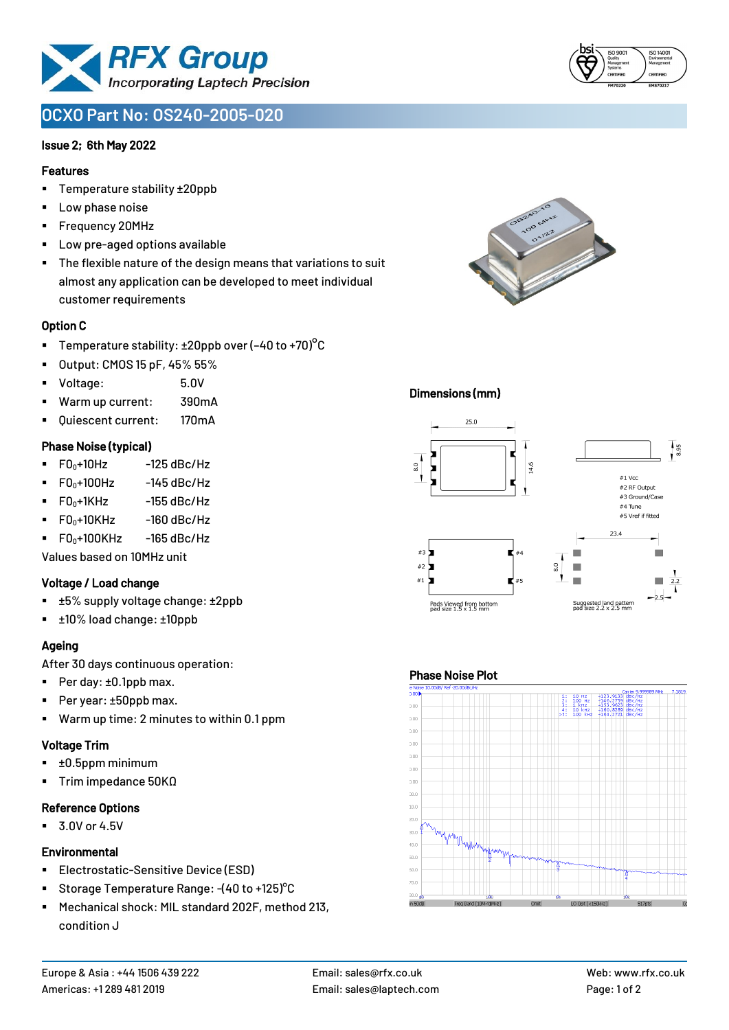

# **OCXO Part No: OS240-2005-020**

#### Issue 2; 6th May 2022

#### Features

- Temperature stability ±20ppb
- Low phase noise
- Frequency 20MHz
- Low pre-aged options available
- The flexible nature of the design means that variations to suit almost any application can be developed to meet individual customer requirements

#### Option C

- **•** Temperature stability:  $\pm 20$ ppb over (-40 to +70)<sup>o</sup>C
- Output: CMOS 15 pF, 45% 55%
- Voltage: 5.0V
- Warm up current: 390mA
- Quiescent current: 170mA

#### Phase Noise (typical)

- $\blacksquare$  F0 $\scriptstyle\bullet$ +10Hz -125 dBc/Hz
- $F0_0+100$ Hz  $-145$  dBc/Hz
- $\blacksquare$  F0 $_0$ +1KHz -155 dBc/Hz
- $\blacksquare$  F0 $_0$ +10KHz -160 dBc/Hz
- $\blacksquare$  F0 $\scriptstyle\bullet$ +100KHz -165 dBc/Hz

Values based on 10MHz unit

#### Voltage / Load change

- ±5% supply voltage change: ±2ppb
- ±10% load change: ±10ppb

## Ageing

After 30 days continuous operation:

- Per day: ±0.1ppb max.
- Per year: ±50ppb max.
- Warm up time: 2 minutes to within 0.1 ppm

#### Voltage Trim

- $\blacksquare$   $\pm 0.5$ ppm minimum
- Trim impedance 50KΩ

#### Reference Options

 $\blacksquare$  3.0V or 4.5V

#### **Environmental**

- **Electrostatic-Sensitive Device (ESD)**
- Storage Temperature Range: -(40 to +125)°C
- Mechanical shock: MIL standard 202F, method 213, condition J



## Dimensions (mm)



## Phase Noise Plot